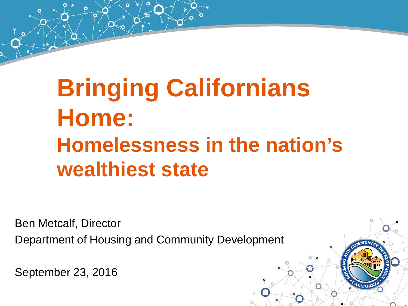# **Bringing Californians Home: Homelessness in the nation's wealthiest state**

Ben Metcalf, Director Department of Housing and Community Development

September 23, 2016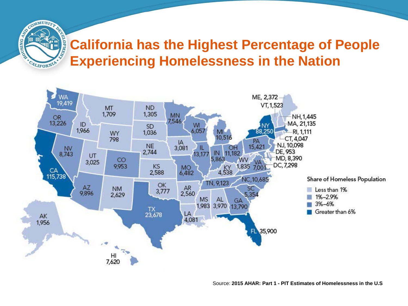#### **California has the Highest Percentage of People Experiencing Homelessness in the Nation**

**CONTRACTOR** 

CALIFORNIA

M<sub>do</sub>



Source: **2015 AHAR: Part 1 - PIT Estimates of Homelessness in the U.S**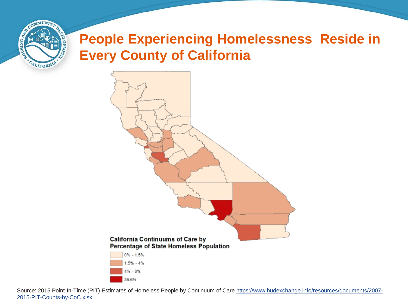

#### **People Experiencing Homelessness Reside in Every County of California**



Source: 2015 Point-In-Time (PIT) Estimates of Homeless People by Continuum of Care [https://www.hudexchange.info/resources/documents/2007-](https://www.hudexchange.info/resources/documents/2007-2015-PIT-Counts-by-CoC.xlsx) [2015-PIT-Counts-by-CoC.xlsx](https://www.hudexchange.info/resources/documents/2007-2015-PIT-Counts-by-CoC.xlsx)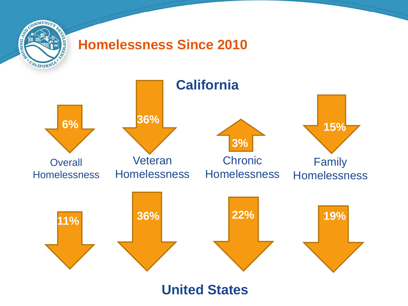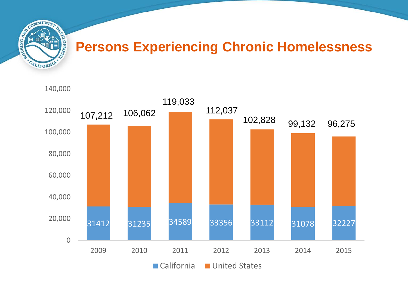

#### **Persons Experiencing Chronic Homelessness**

140,000

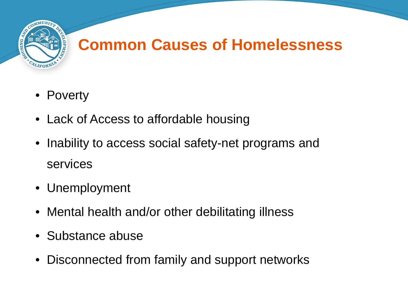

# **Common Causes of Homelessness**

- Poverty
- Lack of Access to affordable housing
- Inability to access social safety-net programs and services
- Unemployment
- Mental health and/or other debilitating illness
- Substance abuse
- Disconnected from family and support networks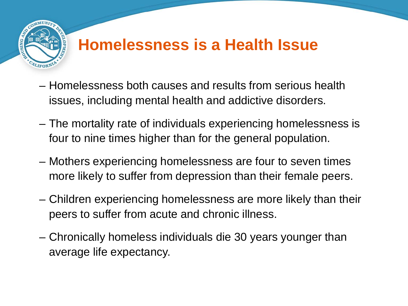

### **Homelessness is a Health Issue**

- Homelessness both causes and results from serious health issues, including mental health and addictive disorders.
- The mortality rate of individuals experiencing homelessness is four to nine times higher than for the general population.
- Mothers experiencing homelessness are four to seven times more likely to suffer from depression than their female peers.
- Children experiencing homelessness are more likely than their peers to suffer from acute and chronic illness.
- Chronically homeless individuals die 30 years younger than average life expectancy.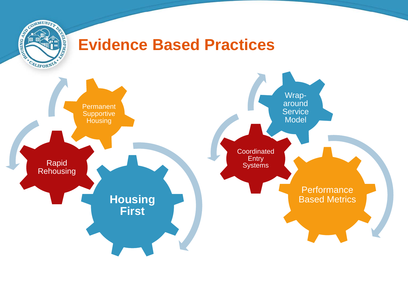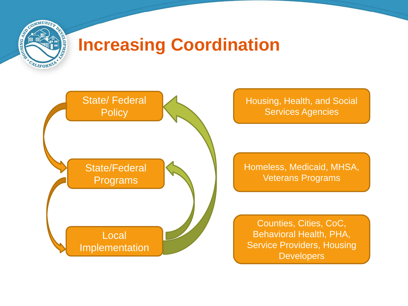

# **Increasing Coordination**



Housing, Health, and Social Services Agencies

Homeless, Medicaid, MHSA, Veterans Programs

Counties, Cities, CoC, Behavioral Health, PHA, Service Providers, Housing **Developers**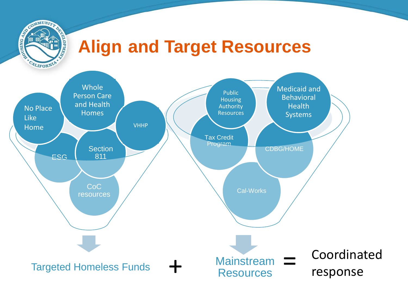

# **Align and Target Resources**

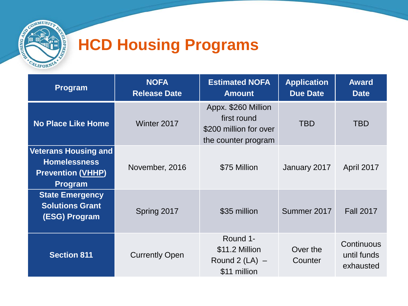

# **HCD Housing Programs**

| <b>Program</b>                                                                                   | <b>NOFA</b><br><b>Release Date</b> | <b>Estimated NOFA</b><br><b>Amount</b>                                              | <b>Application</b><br><b>Due Date</b> | <b>Award</b><br><b>Date</b>            |
|--------------------------------------------------------------------------------------------------|------------------------------------|-------------------------------------------------------------------------------------|---------------------------------------|----------------------------------------|
| <b>No Place Like Home</b>                                                                        | Winter 2017                        | Appx. \$260 Million<br>first round<br>\$200 million for over<br>the counter program | <b>TBD</b>                            | <b>TBD</b>                             |
| <b>Veterans Housing and</b><br><b>Homelessness</b><br><b>Prevention (VHHP)</b><br><b>Program</b> | November, 2016                     | \$75 Million                                                                        | January 2017                          | April 2017                             |
| <b>State Emergency</b><br><b>Solutions Grant</b><br>(ESG) Program                                | Spring 2017                        | \$35 million                                                                        | Summer 2017                           | <b>Fall 2017</b>                       |
| <b>Section 811</b>                                                                               | <b>Currently Open</b>              | Round 1-<br>\$11.2 Million<br>Round 2 $(LA)$ –<br>\$11 million                      | Over the<br>Counter                   | Continuous<br>until funds<br>exhausted |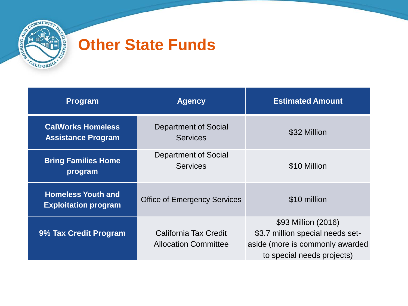

#### **Other State Funds**

| Program                                                  | <b>Agency</b>                                        | <b>Estimated Amount</b>                                                                                                  |
|----------------------------------------------------------|------------------------------------------------------|--------------------------------------------------------------------------------------------------------------------------|
| <b>CalWorks Homeless</b><br><b>Assistance Program</b>    | Department of Social<br><b>Services</b>              | \$32 Million                                                                                                             |
| <b>Bring Families Home</b><br>program                    | Department of Social<br><b>Services</b>              | \$10 Million                                                                                                             |
| <b>Homeless Youth and</b><br><b>Exploitation program</b> | <b>Office of Emergency Services</b>                  | \$10 million                                                                                                             |
| 9% Tax Credit Program                                    | California Tax Credit<br><b>Allocation Committee</b> | \$93 Million (2016)<br>\$3.7 million special needs set-<br>aside (more is commonly awarded<br>to special needs projects) |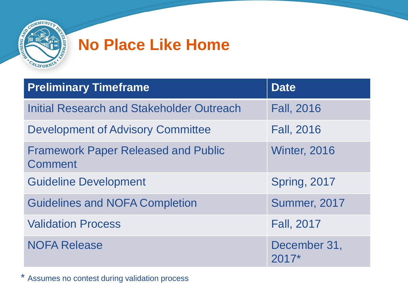

### **No Place Like Home**

| <b>Preliminary Timeframe</b>                          | <b>Date</b>             |
|-------------------------------------------------------|-------------------------|
| Initial Research and Stakeholder Outreach             | <b>Fall, 2016</b>       |
| <b>Development of Advisory Committee</b>              | <b>Fall, 2016</b>       |
| <b>Framework Paper Released and Public</b><br>Comment | <b>Winter, 2016</b>     |
| <b>Guideline Development</b>                          | <b>Spring, 2017</b>     |
| <b>Guidelines and NOFA Completion</b>                 | <b>Summer, 2017</b>     |
| <b>Validation Process</b>                             | <b>Fall, 2017</b>       |
| <b>NOFA Release</b>                                   | December 31,<br>$2017*$ |

\* Assumes no contest during validation process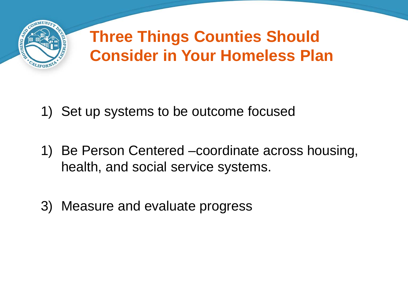

# **Three Things Counties Should Consider in Your Homeless Plan**

- 1) Set up systems to be outcome focused
- 1) Be Person Centered –coordinate across housing, health, and social service systems.
- 3) Measure and evaluate progress